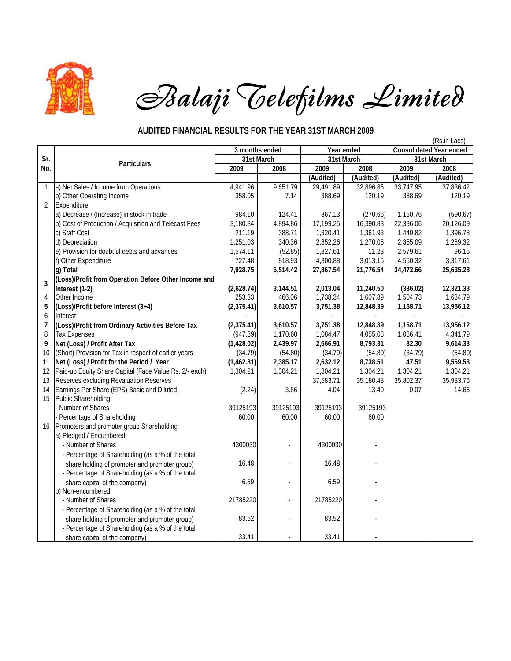

## *Balaji Telefilms Limited*

## **AUDITED FINANCIAL RESULTS FOR THE YEAR 31ST MARCH 2009**

|                |                                                        |                |          |            |           |                                | (Rs.in Lacs) |
|----------------|--------------------------------------------------------|----------------|----------|------------|-----------|--------------------------------|--------------|
|                |                                                        | 3 months ended |          | Year ended |           | <b>Consolidated Year ended</b> |              |
| Sr.            | <b>Particulars</b>                                     | 31st March     |          | 31st March |           | 31st March                     |              |
| No.            |                                                        | 2009           | 2008     | 2009       | 2008      | 2009                           | 2008         |
|                |                                                        |                |          | (Audited)  | (Audited) | (Audited)                      | (Audited)    |
| 1              | a) Net Sales / Income from Operations                  | 4,941.96       | 9,651.79 | 29,491.89  | 32,896.85 | 33,747.95                      | 37,836.42    |
|                | b) Other Operating Income                              | 358.05         | 7.14     | 388.69     | 120.19    | 388.69                         | 120.19       |
| $\overline{2}$ | Expenditure                                            |                |          |            |           |                                |              |
|                | a) Decrease / (Increase) in stock in trade             | 984.10         | 124.41   | 867.13     | (270.66)  | 1,150.76                       | (590.67)     |
|                | b) Cost of Production / Acquisition and Telecast Fees  | 3,180.84       | 4,894.86 | 17,199.25  | 16,390.83 | 22,396.06                      | 20,126.09    |
|                | c) Staff Cost                                          | 211.19         | 388.71   | 1,320.41   | 1,361.93  | 1,440.82                       | 1,396.78     |
|                | d) Depreciation                                        | 1,251.03       | 340.36   | 2,352.26   | 1,270.06  | 2,355.09                       | 1,289.32     |
|                | e) Provision for doubtful debts and advances           | 1,574.11       | (52.85)  | 1,827.61   | 11.23     | 2,579.61                       | 96.15        |
|                | f) Other Expenditure                                   | 727.48         | 818.93   | 4,300.88   | 3,013.15  | 4,550.32                       | 3,317.61     |
|                | g) Total                                               | 7,928.75       | 6,514.42 | 27,867.54  | 21,776.54 | 34,472.66                      | 25,635.28    |
| 3              | (Loss)/Profit from Operation Before Other Income and   |                |          |            |           |                                |              |
|                | Interest (1-2)                                         | (2,628.74)     | 3,144.51 | 2,013.04   | 11,240.50 | (336.02)                       | 12,321.33    |
| 4              | Other Income                                           | 253.33         | 466.06   | 1,738.34   | 1,607.89  | 1,504.73                       | 1,634.79     |
| 5              | (Loss)/Profit before Interest (3+4)                    | (2,375.41)     | 3,610.57 | 3,751.38   | 12,848.39 | 1,168.71                       | 13,956.12    |
| 6              | Interest                                               |                |          |            |           |                                |              |
| $\overline{7}$ | (Loss)/Profit from Ordinary Activities Before Tax      | (2, 375.41)    | 3,610.57 | 3,751.38   | 12,848.39 | 1,168.71                       | 13,956.12    |
| $\, 8$         | <b>Tax Expenses</b>                                    | (947.39)       | 1,170.60 | 1,084.47   | 4,055.08  | 1,086.41                       | 4,341.79     |
| 9              | Net (Loss) / Profit After Tax                          | (1,428.02)     | 2,439.97 | 2,666.91   | 8,793.31  | 82.30                          | 9,614.33     |
| 10             | (Short) Provision for Tax in respect of earlier years  | (34.79)        | (54.80)  | (34.79)    | (54.80)   | (34.79)                        | (54.80)      |
| 11             | Net (Loss) / Profit for the Period / Year              | (1,462.81)     | 2,385.17 | 2,632.12   | 8,738.51  | 47.51                          | 9,559.53     |
| 12             | Paid-up Equity Share Capital (Face Value Rs. 2/- each) | 1,304.21       | 1,304.21 | 1,304.21   | 1,304.21  | 1,304.21                       | 1,304.21     |
| 13             | Reserves excluding Revaluation Reserves                |                |          | 37,583.71  | 35,180.48 | 35,802.37                      | 35,983.76    |
| 14             | Earnings Per Share (EPS) Basic and Diluted             | (2.24)         | 3.66     | 4.04       | 13.40     | 0.07                           | 14.66        |
| 15             | Public Shareholding:                                   |                |          |            |           |                                |              |
|                | Number of Shares                                       | 39125193       | 39125193 | 39125193   | 39125193  |                                |              |
|                | Percentage of Shareholding                             | 60.00          | 60.00    | 60.00      | 60.00     |                                |              |
| 16             | Promoters and promoter group Shareholding              |                |          |            |           |                                |              |
|                | a) Pledged / Encumbered                                |                |          |            |           |                                |              |
|                | - Number of Shares                                     | 4300030        |          | 4300030    |           |                                |              |
|                | - Percentage of Shareholding (as a % of the total      |                |          |            |           |                                |              |
|                | share holding of promoter and promoter group)          | 16.48          |          | 16.48      |           |                                |              |
|                | - Percentage of Shareholding (as a % of the total      |                |          |            |           |                                |              |
|                | share capital of the company)                          | 6.59           |          | 6.59       |           |                                |              |
|                | b) Non-encumbered                                      |                |          |            |           |                                |              |
|                | - Number of Shares                                     | 21785220       |          | 21785220   |           |                                |              |
|                | - Percentage of Shareholding (as a % of the total      |                |          |            |           |                                |              |
|                | share holding of promoter and promoter group)          | 83.52          |          | 83.52      |           |                                |              |
|                | - Percentage of Shareholding (as a % of the total      |                |          |            |           |                                |              |
|                | share capital of the company)                          | 33.41          |          | 33.41      |           |                                |              |